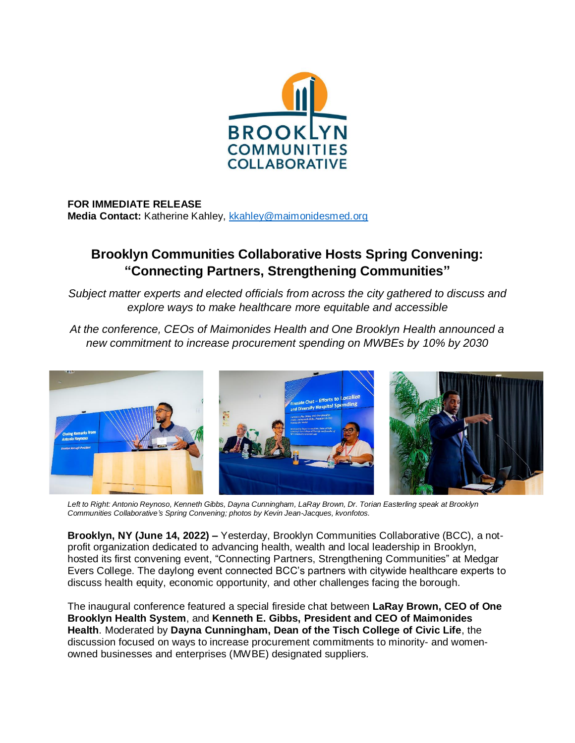

## **FOR IMMEDIATE RELEASE** Media Contact: Katherine Kahley, [kkahley@maimonidesmed.org](mailto:kkahley@maimonidesmed.org)

## **Brooklyn Communities Collaborative Hosts Spring Convening: "Connecting Partners, Strengthening Communities"**

*Subject matter experts and elected officials from across the city gathered to discuss and explore ways to make healthcare more equitable and accessible*

*At the conference, CEOs of Maimonides Health and One Brooklyn Health announced a new commitment to increase procurement spending on MWBEs by 10% by 2030*



*Left to Right: Antonio Reynoso, Kenneth Gibbs, Dayna Cunningham, LaRay Brown, Dr. Torian Easterling speak at Brooklyn Communities Collaborative's Spring Convening; photos by Kevin Jean-Jacques, kvonfotos.*

**Brooklyn, NY (June 14, 2022) –** Yesterday, Brooklyn Communities Collaborative (BCC), a notprofit organization dedicated to advancing health, wealth and local leadership in Brooklyn, hosted its first convening event, "Connecting Partners, Strengthening Communities" at Medgar Evers College. The daylong event connected BCC's partners with citywide healthcare experts to discuss health equity, economic opportunity, and other challenges facing the borough.

The inaugural conference featured a special fireside chat between **LaRay Brown, CEO of One Brooklyn Health System**, and **Kenneth E. Gibbs, President and CEO of Maimonides Health**. Moderated by **Dayna Cunningham, Dean of the Tisch College of Civic Life**, the discussion focused on ways to increase procurement commitments to minority- and womenowned businesses and enterprises (MWBE) designated suppliers.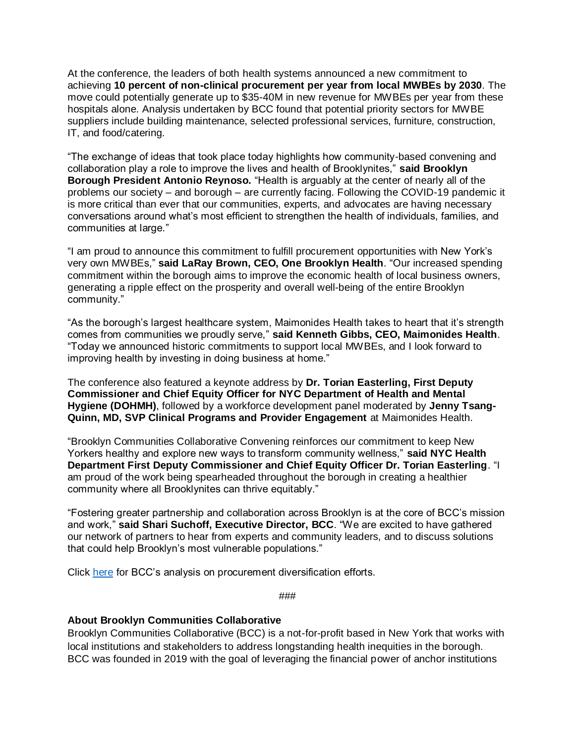At the conference, the leaders of both health systems announced a new commitment to achieving **10 percent of non-clinical procurement per year from local MWBEs by 2030**. The move could potentially generate up to \$35-40M in new revenue for MWBEs per year from these hospitals alone. Analysis undertaken by BCC found that potential priority sectors for MWBE suppliers include building maintenance, selected professional services, furniture, construction, IT, and food/catering.

"The exchange of ideas that took place today highlights how community-based convening and collaboration play a role to improve the lives and health of Brooklynites," **said Brooklyn Borough President Antonio Reynoso.** "Health is arguably at the center of nearly all of the problems our society – and borough – are currently facing. Following the COVID-19 pandemic it is more critical than ever that our communities, experts, and advocates are having necessary conversations around what's most efficient to strengthen the health of individuals, families, and communities at large."

"I am proud to announce this commitment to fulfill procurement opportunities with New York's very own MWBEs," **said LaRay Brown, CEO, One Brooklyn Health**. "Our increased spending commitment within the borough aims to improve the economic health of local business owners, generating a ripple effect on the prosperity and overall well-being of the entire Brooklyn community."

"As the borough's largest healthcare system, Maimonides Health takes to heart that it's strength comes from communities we proudly serve," **said Kenneth Gibbs, CEO, Maimonides Health**. "Today we announced historic commitments to support local MWBEs, and I look forward to improving health by investing in doing business at home."

The conference also featured a keynote address by **Dr. Torian Easterling, First Deputy Commissioner and Chief Equity Officer for NYC Department of Health and Mental Hygiene (DOHMH)**, followed by a workforce development panel moderated by **Jenny Tsang-Quinn, MD, SVP Clinical Programs and Provider Engagement** at Maimonides Health.

"Brooklyn Communities Collaborative Convening reinforces our commitment to keep New Yorkers healthy and explore new ways to transform community wellness," **said NYC Health Department First Deputy Commissioner and Chief Equity Officer Dr. Torian Easterling**. "I am proud of the work being spearheaded throughout the borough in creating a healthier community where all Brooklynites can thrive equitably."

"Fostering greater partnership and collaboration across Brooklyn is at the core of BCC's mission and work," **said Shari Suchoff, Executive Director, BCC**. "We are excited to have gathered our network of partners to hear from experts and community leaders, and to discuss solutions that could help Brooklyn's most vulnerable populations."

Click [here](https://brooklyncommunities.org/wp-content/uploads/2022/06/Procurement-Report-2022_FINAL.pdf) for BCC's analysis on procurement diversification efforts.

*###*

## **About Brooklyn Communities Collaborative**

Brooklyn Communities Collaborative (BCC) is a not-for-profit based in New York that works with local institutions and stakeholders to address longstanding health inequities in the borough. BCC was founded in 2019 with the goal of leveraging the financial power of anchor institutions